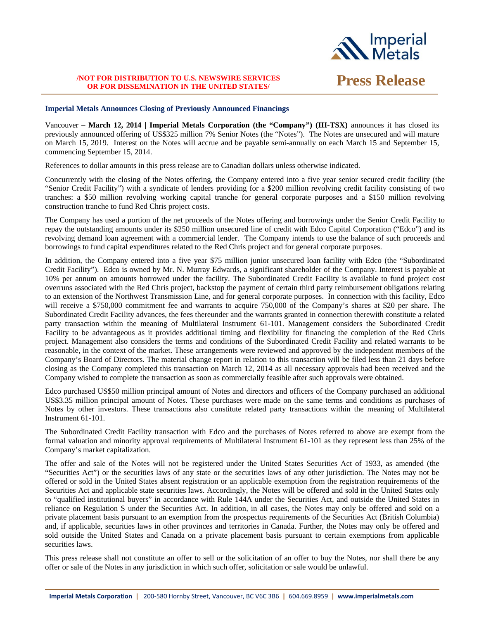

# **/NOT FOR DISTRIBUTION TO U.S. NEWSWIRE SERVICES OR FOR DISSEMINATION IN THE UNITED STATES/ Press Release**

## **Imperial Metals Announces Closing of Previously Announced Financings**

Vancouver – **March 12, 2014 | Imperial Metals Corporation (the "Company") (III-TSX)** announces it has closed its previously announced offering of US\$325 million 7% Senior Notes (the "Notes"). The Notes are unsecured and will mature on March 15, 2019. Interest on the Notes will accrue and be payable semi-annually on each March 15 and September 15, commencing September 15, 2014.

References to dollar amounts in this press release are to Canadian dollars unless otherwise indicated.

Concurrently with the closing of the Notes offering, the Company entered into a five year senior secured credit facility (the "Senior Credit Facility") with a syndicate of lenders providing for a \$200 million revolving credit facility consisting of two tranches: a \$50 million revolving working capital tranche for general corporate purposes and a \$150 million revolving construction tranche to fund Red Chris project costs.

The Company has used a portion of the net proceeds of the Notes offering and borrowings under the Senior Credit Facility to repay the outstanding amounts under its \$250 million unsecured line of credit with Edco Capital Corporation ("Edco") and its revolving demand loan agreement with a commercial lender. The Company intends to use the balance of such proceeds and borrowings to fund capital expenditures related to the Red Chris project and for general corporate purposes.

In addition, the Company entered into a five year \$75 million junior unsecured loan facility with Edco (the "Subordinated Credit Facility"). Edco is owned by Mr. N. Murray Edwards, a significant shareholder of the Company. Interest is payable at 10% per annum on amounts borrowed under the facility. The Subordinated Credit Facility is available to fund project cost overruns associated with the Red Chris project, backstop the payment of certain third party reimbursement obligations relating to an extension of the Northwest Transmission Line, and for general corporate purposes. In connection with this facility, Edco will receive a \$750,000 commitment fee and warrants to acquire 750,000 of the Company's shares at \$20 per share. The Subordinated Credit Facility advances, the fees thereunder and the warrants granted in connection therewith constitute a related party transaction within the meaning of Multilateral Instrument 61-101. Management considers the Subordinated Credit Facility to be advantageous as it provides additional timing and flexibility for financing the completion of the Red Chris project. Management also considers the terms and conditions of the Subordinated Credit Facility and related warrants to be reasonable, in the context of the market. These arrangements were reviewed and approved by the independent members of the Company's Board of Directors. The material change report in relation to this transaction will be filed less than 21 days before closing as the Company completed this transaction on March 12, 2014 as all necessary approvals had been received and the Company wished to complete the transaction as soon as commercially feasible after such approvals were obtained.

Edco purchased US\$50 million principal amount of Notes and directors and officers of the Company purchased an additional US\$3.35 million principal amount of Notes. These purchases were made on the same terms and conditions as purchases of Notes by other investors. These transactions also constitute related party transactions within the meaning of Multilateral Instrument 61-101.

The Subordinated Credit Facility transaction with Edco and the purchases of Notes referred to above are exempt from the formal valuation and minority approval requirements of Multilateral Instrument 61-101 as they represent less than 25% of the Company's market capitalization.

The offer and sale of the Notes will not be registered under the United States Securities Act of 1933, as amended (the "Securities Act") or the securities laws of any state or the securities laws of any other jurisdiction. The Notes may not be offered or sold in the United States absent registration or an applicable exemption from the registration requirements of the Securities Act and applicable state securities laws. Accordingly, the Notes will be offered and sold in the United States only to "qualified institutional buyers" in accordance with Rule 144A under the Securities Act, and outside the United States in reliance on Regulation S under the Securities Act. In addition, in all cases, the Notes may only be offered and sold on a private placement basis pursuant to an exemption from the prospectus requirements of the Securities Act (British Columbia) and, if applicable, securities laws in other provinces and territories in Canada. Further, the Notes may only be offered and sold outside the United States and Canada on a private placement basis pursuant to certain exemptions from applicable securities laws.

This press release shall not constitute an offer to sell or the solicitation of an offer to buy the Notes, nor shall there be any offer or sale of the Notes in any jurisdiction in which such offer, solicitation or sale would be unlawful.